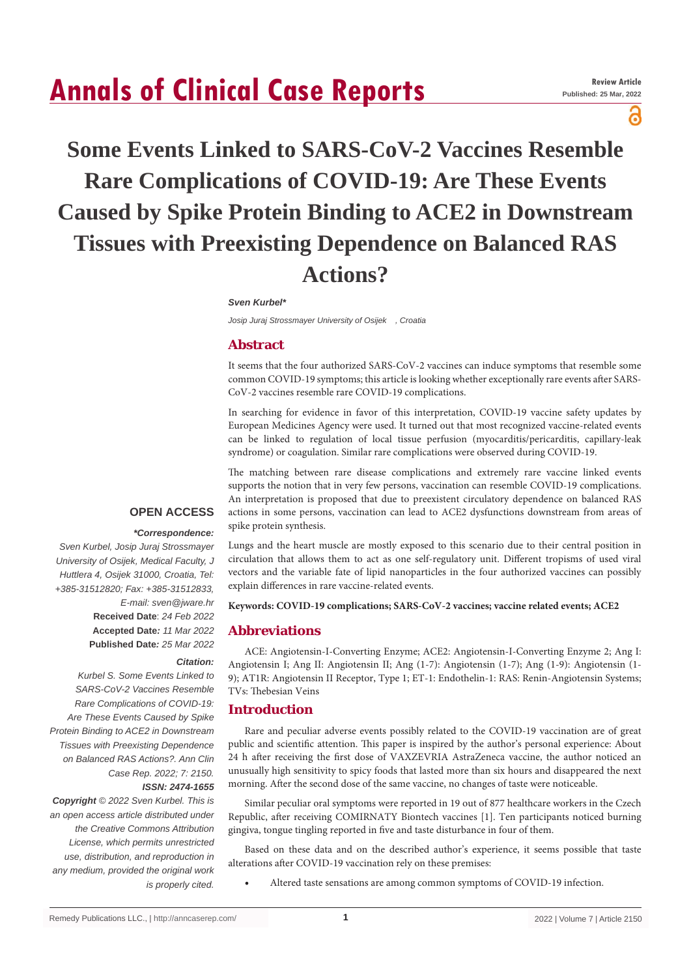# **Annals of Clinical Case Reports**

ဥ

# **Some Events Linked to SARS-CoV-2 Vaccines Resemble Rare Complications of COVID-19: Are These Events Caused by Spike Protein Binding to ACE2 in Downstream Tissues with Preexisting Dependence on Balanced RAS Actions?**

#### *Sven Kurbel\**

*Josip Juraj Strossmayer University of Osijek , Croatia*

# **Abstract**

It seems that the four authorized SARS-CoV-2 vaccines can induce symptoms that resemble some common COVID-19 symptoms; this article is looking whether exceptionally rare events after SARS-CoV-2 vaccines resemble rare COVID-19 complications.

In searching for evidence in favor of this interpretation, COVID-19 vaccine safety updates by European Medicines Agency were used. It turned out that most recognized vaccine-related events can be linked to regulation of local tissue perfusion (myocarditis/pericarditis, capillary-leak syndrome) or coagulation. Similar rare complications were observed during COVID-19.

The matching between rare disease complications and extremely rare vaccine linked events supports the notion that in very few persons, vaccination can resemble COVID-19 complications. An interpretation is proposed that due to preexistent circulatory dependence on balanced RAS actions in some persons, vaccination can lead to ACE2 dysfunctions downstream from areas of spike protein synthesis.

# **OPEN ACCESS**

#### *\*Correspondence:*

*Sven Kurbel, Josip Juraj Strossmayer University of Osijek, Medical Faculty, J Huttlera 4, Osijek 31000, Croatia, Tel: +385-31512820; Fax: +385-31512833, E-mail: sven@jware.hr* **Received Date**: *24 Feb 2022* **Accepted Date***: 11 Mar 2022* **Published Date***: 25 Mar 2022 Citation:* 

*Kurbel S. Some Events Linked to SARS-CoV-2 Vaccines Resemble Rare Complications of COVID-19: Are These Events Caused by Spike Protein Binding to ACE2 in Downstream Tissues with Preexisting Dependence on Balanced RAS Actions?. Ann Clin Case Rep. 2022; 7: 2150. ISSN: 2474-1655*

*Copyright © 2022 Sven Kurbel. This is an open access article distributed under the Creative Commons Attribution License, which permits unrestricted use, distribution, and reproduction in any medium, provided the original work is properly cited.*

Lungs and the heart muscle are mostly exposed to this scenario due to their central position in circulation that allows them to act as one self-regulatory unit. Different tropisms of used viral vectors and the variable fate of lipid nanoparticles in the four authorized vaccines can possibly explain differences in rare vaccine-related events.

#### **Keywords: COVID-19 complications; SARS-CoV-2 vaccines; vaccine related events; ACE2**

#### **Abbreviations**

ACE: Angiotensin-I-Converting Enzyme; ACE2: Angiotensin-I-Converting Enzyme 2; Ang I: Angiotensin I; Ang II: Angiotensin II; Ang (1-7): Angiotensin (1-7); Ang (1-9): Angiotensin (1- 9); AT1R: Angiotensin II Receptor, Type 1; ET-1: Endothelin-1: RAS: Renin-Angiotensin Systems; TVs: Thebesian Veins

### **Introduction**

Rare and peculiar adverse events possibly related to the COVID-19 vaccination are of great public and scientific attention. This paper is inspired by the author's personal experience: About 24 h after receiving the first dose of VAXZEVRIA AstraZeneca vaccine, the author noticed an unusually high sensitivity to spicy foods that lasted more than six hours and disappeared the next morning. After the second dose of the same vaccine, no changes of taste were noticeable.

Similar peculiar oral symptoms were reported in 19 out of 877 healthcare workers in the Czech Republic, after receiving COMIRNATY Biontech vaccines [1]. Ten participants noticed burning gingiva, tongue tingling reported in five and taste disturbance in four of them.

Based on these data and on the described author's experience, it seems possible that taste alterations after COVID-19 vaccination rely on these premises:

Altered taste sensations are among common symptoms of COVID-19 infection.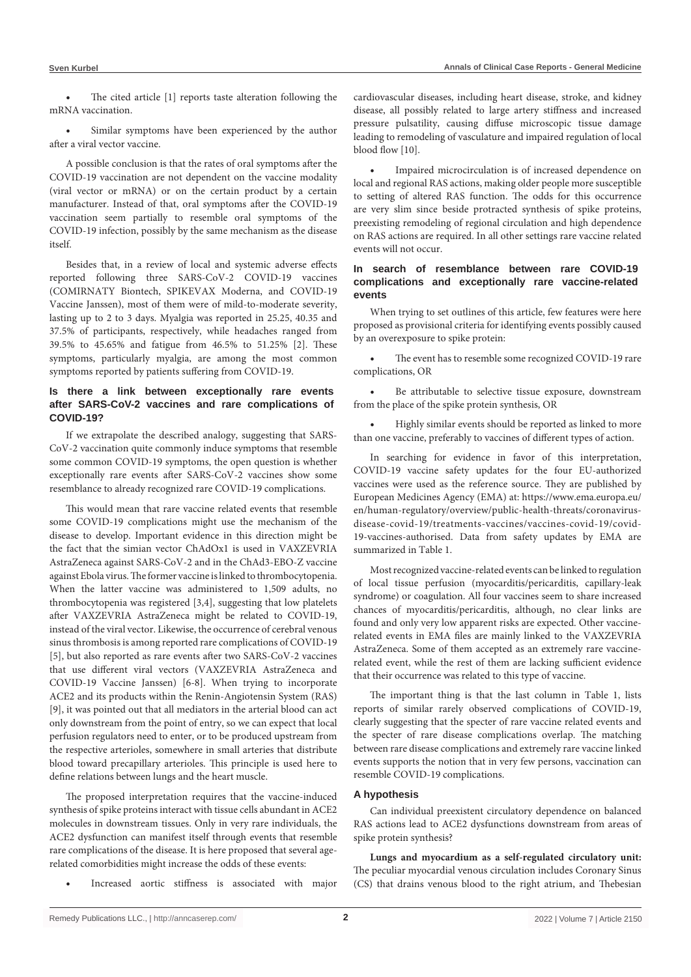The cited article  $[1]$  reports taste alteration following the mRNA vaccination.

Similar symptoms have been experienced by the author after a viral vector vaccine.

A possible conclusion is that the rates of oral symptoms after the COVID-19 vaccination are not dependent on the vaccine modality (viral vector or mRNA) or on the certain product by a certain manufacturer. Instead of that, oral symptoms after the COVID-19 vaccination seem partially to resemble oral symptoms of the COVID-19 infection, possibly by the same mechanism as the disease itself.

Besides that, in a review of local and systemic adverse effects reported following three SARS-CoV-2 COVID-19 vaccines (COMIRNATY Biontech, SPIKEVAX Moderna, and COVID-19 Vaccine Janssen), most of them were of mild-to-moderate severity, lasting up to 2 to 3 days. Myalgia was reported in 25.25, 40.35 and 37.5% of participants, respectively, while headaches ranged from 39.5% to 45.65% and fatigue from 46.5% to 51.25% [2]. These symptoms, particularly myalgia, are among the most common symptoms reported by patients suffering from COVID-19.

# **Is there a link between exceptionally rare events after SARS-CoV-2 vaccines and rare complications of COVID-19?**

If we extrapolate the described analogy, suggesting that SARS-CoV-2 vaccination quite commonly induce symptoms that resemble some common COVID-19 symptoms, the open question is whether exceptionally rare events after SARS-CoV-2 vaccines show some resemblance to already recognized rare COVID-19 complications.

This would mean that rare vaccine related events that resemble some COVID-19 complications might use the mechanism of the disease to develop. Important evidence in this direction might be the fact that the simian vector ChAdOx1 is used in VAXZEVRIA AstraZeneca against SARS-CoV-2 and in the ChAd3-EBO-Z vaccine against Ebola virus.The former vaccine islinked to thrombocytopenia. When the latter vaccine was administered to 1,509 adults, no thrombocytopenia was registered [3,4], suggesting that low platelets after VAXZEVRIA AstraZeneca might be related to COVID-19, instead of the viral vector. Likewise, the occurrence of cerebral venous sinus thrombosisis among reported rare complications of COVID-19 [5], but also reported as rare events after two SARS-CoV-2 vaccines that use different viral vectors (VAXZEVRIA AstraZeneca and COVID-19 Vaccine Janssen) [6-8]. When trying to incorporate ACE2 and its products within the Renin-Angiotensin System (RAS) [9], it was pointed out that all mediators in the arterial blood can act only downstream from the point of entry, so we can expect that local perfusion regulators need to enter, or to be produced upstream from the respective arterioles, somewhere in small arteries that distribute blood toward precapillary arterioles. This principle is used here to define relations between lungs and the heart muscle.

The proposed interpretation requires that the vaccine-induced synthesis of spike proteins interact with tissue cells abundant in ACE2 molecules in downstream tissues. Only in very rare individuals, the ACE2 dysfunction can manifest itself through events that resemble rare complications of the disease. It is here proposed that several agerelated comorbidities might increase the odds of these events:

Increased aortic stiffness is associated with major

cardiovascular diseases, including heart disease, stroke, and kidney disease, all possibly related to large artery stiffness and increased pressure pulsatility, causing diffuse microscopic tissue damage leading to remodeling of vasculature and impaired regulation of local blood flow [10].

Impaired microcirculation is of increased dependence on local and regional RAS actions, making older people more susceptible to setting of altered RAS function. The odds for this occurrence are very slim since beside protracted synthesis of spike proteins, preexisting remodeling of regional circulation and high dependence on RAS actions are required. In all other settings rare vaccine related events will not occur.

## **In search of resemblance between rare COVID-19 complications and exceptionally rare vaccine-related events**

When trying to set outlines of this article, few features were here proposed as provisional criteria for identifying events possibly caused by an overexposure to spike protein:

The event has to resemble some recognized COVID-19 rare complications, OR

• Be attributable to selective tissue exposure, downstream from the place of the spike protein synthesis, OR

Highly similar events should be reported as linked to more than one vaccine, preferably to vaccines of different types of action.

In searching for evidence in favor of this interpretation, COVID-19 vaccine safety updates for the four EU-authorized vaccines were used as the reference source. They are published by European Medicines Agency (EMA) at: https://www.ema.europa.eu/ en/human-regulatory/overview/public-health-threats/coronavirusdisease-covid-19/treatments-vaccines/vaccines-covid-19/covid-19-vaccines-authorised. Data from safety updates by EMA are summarized in Table 1.

Mostrecognized vaccine-related events can be linked to regulation of local tissue perfusion (myocarditis/pericarditis, capillary-leak syndrome) or coagulation. All four vaccines seem to share increased chances of myocarditis/pericarditis, although, no clear links are found and only very low apparent risks are expected. Other vaccinerelated events in EMA files are mainly linked to the VAXZEVRIA AstraZeneca. Some of them accepted as an extremely rare vaccinerelated event, while the rest of them are lacking sufficient evidence that their occurrence was related to this type of vaccine.

The important thing is that the last column in Table 1, lists reports of similar rarely observed complications of COVID-19, clearly suggesting that the specter of rare vaccine related events and the specter of rare disease complications overlap. The matching between rare disease complications and extremely rare vaccine linked events supports the notion that in very few persons, vaccination can resemble COVID-19 complications.

### **A hypothesis**

Can individual preexistent circulatory dependence on balanced RAS actions lead to ACE2 dysfunctions downstream from areas of spike protein synthesis?

**Lungs and myocardium as a self-regulated circulatory unit:**  The peculiar myocardial venous circulation includes Coronary Sinus (CS) that drains venous blood to the right atrium, and Thebesian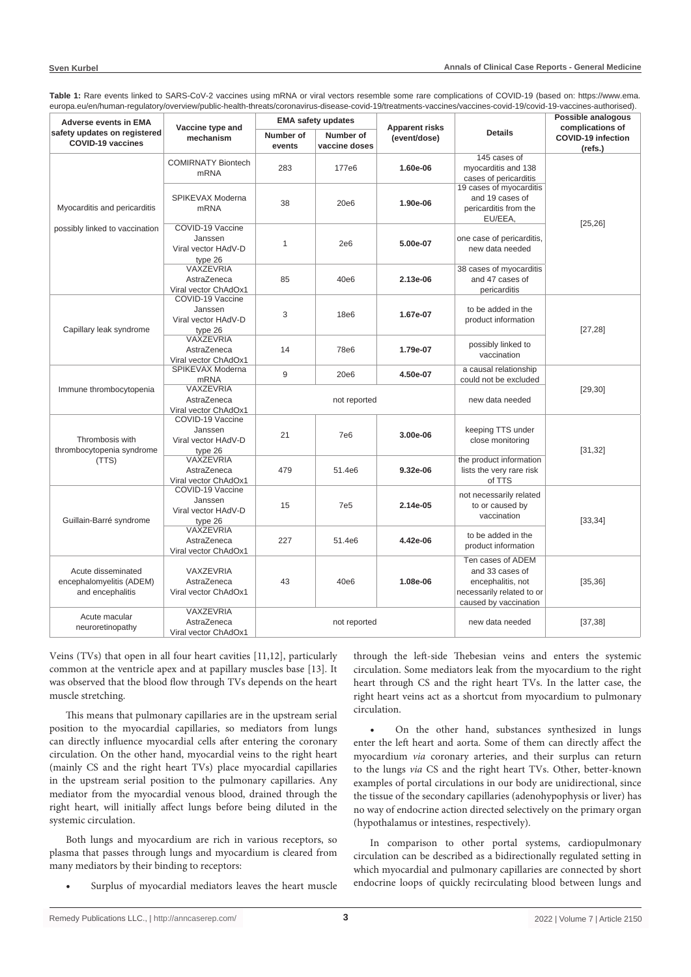| <b>Adverse events in EMA</b><br>safety updates on registered<br><b>COVID-19 vaccines</b> | Vaccine type and<br>mechanism                                 | cuiopa.cu/ci//iuman-regulatory/0vc/view/public-ncaltin-thicaty/coronavirus-ulscase-coviu-re/treatments-vacchies/vacchies-coviu-re/coviu-re-vacchies-authoriseu/<br><b>EMA safety updates</b> |                            |                                       |                                                                                                                 | Possible analogous                                       |
|------------------------------------------------------------------------------------------|---------------------------------------------------------------|----------------------------------------------------------------------------------------------------------------------------------------------------------------------------------------------|----------------------------|---------------------------------------|-----------------------------------------------------------------------------------------------------------------|----------------------------------------------------------|
|                                                                                          |                                                               | Number of<br>events                                                                                                                                                                          | Number of<br>vaccine doses | <b>Apparent risks</b><br>(event/dose) | <b>Details</b>                                                                                                  | complications of<br><b>COVID-19 infection</b><br>(refs.) |
|                                                                                          | <b>COMIRNATY Biontech</b><br>m <sub>RNA</sub>                 | 283                                                                                                                                                                                          | 177e6                      | 1.60e-06                              | 145 cases of<br>myocarditis and 138<br>cases of pericarditis                                                    |                                                          |
| Myocarditis and pericarditis                                                             | SPIKEVAX Moderna<br><b>mRNA</b>                               | 38                                                                                                                                                                                           | 20e <sub>6</sub>           | 1.90e-06                              | 19 cases of myocarditis<br>and 19 cases of<br>pericarditis from the<br>EU/EEA,                                  |                                                          |
| possibly linked to vaccination                                                           | COVID-19 Vaccine<br>Janssen<br>Viral vector HAdV-D<br>type 26 | $\mathbf{1}$                                                                                                                                                                                 | 2e6                        | 5.00e-07                              | one case of pericarditis.<br>new data needed                                                                    | [25, 26]                                                 |
|                                                                                          | VAXZEVRIA<br>AstraZeneca<br>Viral vector ChAdOx1              | 85                                                                                                                                                                                           | 40e <sub>6</sub>           | 2.13e-06                              | 38 cases of myocarditis<br>and 47 cases of<br>pericarditis                                                      |                                                          |
| Capillary leak syndrome                                                                  | COVID-19 Vaccine<br>Janssen<br>Viral vector HAdV-D<br>type 26 | 3                                                                                                                                                                                            | 18e <sub>6</sub>           | 1.67e-07                              | to be added in the<br>product information                                                                       | [27, 28]                                                 |
|                                                                                          | VAXZEVRIA<br>AstraZeneca<br>Viral vector ChAdOx1              | 14                                                                                                                                                                                           | <b>78e6</b>                | 1.79e-07                              | possibly linked to<br>vaccination                                                                               |                                                          |
| Immune thrombocytopenia                                                                  | SPIKEVAX Moderna<br><b>mRNA</b>                               | 9                                                                                                                                                                                            | 20e <sub>6</sub>           | 4.50e-07                              | a causal relationship<br>could not be excluded                                                                  |                                                          |
|                                                                                          | VAXZEVRIA<br>AstraZeneca<br>Viral vector ChAdOx1              | not reported                                                                                                                                                                                 |                            |                                       | new data needed                                                                                                 | [29, 30]                                                 |
| Thrombosis with<br>thrombocytopenia syndrome<br>(TTS)                                    | COVID-19 Vaccine<br>Janssen<br>Viral vector HAdV-D<br>type 26 | 21                                                                                                                                                                                           | <b>7e6</b>                 | 3.00e-06                              | keeping TTS under<br>close monitoring                                                                           | [31, 32]                                                 |
|                                                                                          | VAXZEVRIA<br>AstraZeneca<br>Viral vector ChAdOx1              | 479                                                                                                                                                                                          | 51.4e6                     | 9.32e-06                              | the product information<br>lists the very rare risk<br>of TTS                                                   |                                                          |
| Guillain-Barré syndrome                                                                  | COVID-19 Vaccine<br>Janssen<br>Viral vector HAdV-D<br>type 26 | 15                                                                                                                                                                                           | <b>7e5</b>                 | 2.14e-05                              | not necessarily related<br>to or caused by<br>vaccination                                                       | [33, 34]                                                 |
|                                                                                          | VAXZEVRIA<br>AstraZeneca<br>Viral vector ChAdOx1              | 227                                                                                                                                                                                          | 51.4e6                     | 4.42e-06                              | to be added in the<br>product information                                                                       |                                                          |
| Acute disseminated<br>encephalomyelitis (ADEM)<br>and encephalitis                       | VAXZEVRIA<br>AstraZeneca<br>Viral vector ChAdOx1              | 43                                                                                                                                                                                           | 40e <sub>6</sub>           | 1.08e-06                              | Ten cases of ADEM<br>and 33 cases of<br>encephalitis, not<br>necessarily related to or<br>caused by vaccination | [35, 36]                                                 |
| Acute macular<br>neuroretinopathy                                                        | VAXZEVRIA<br>AstraZeneca<br>Viral vector ChAdOx1              | not reported                                                                                                                                                                                 |                            |                                       | new data needed                                                                                                 | [37, 38]                                                 |

**Table 1:** Rare events linked to SARS-CoV-2 vaccines using mRNA or viral vectors resemble some rare complications of COVID-19 (based on: https://www.ema. europa.eu/en/human-regulatory/overview/public-health-threats/coronavirus-disease-covid-19/treatments-vaccines/vaccines-covid-19/covid-19-vaccines-authorised).

Veins (TVs) that open in all four heart cavities [11,12], particularly common at the ventricle apex and at papillary muscles base [13]. It was observed that the blood flow through TVs depends on the heart muscle stretching.

This means that pulmonary capillaries are in the upstream serial position to the myocardial capillaries, so mediators from lungs can directly influence myocardial cells after entering the coronary circulation. On the other hand, myocardial veins to the right heart (mainly CS and the right heart TVs) place myocardial capillaries in the upstream serial position to the pulmonary capillaries. Any mediator from the myocardial venous blood, drained through the right heart, will initially affect lungs before being diluted in the systemic circulation.

Both lungs and myocardium are rich in various receptors, so plasma that passes through lungs and myocardium is cleared from many mediators by their binding to receptors:

Surplus of myocardial mediators leaves the heart muscle

through the left-side Thebesian veins and enters the systemic circulation. Some mediators leak from the myocardium to the right heart through CS and the right heart TVs. In the latter case, the right heart veins act as a shortcut from myocardium to pulmonary circulation.

On the other hand, substances synthesized in lungs enter the left heart and aorta. Some of them can directly affect the myocardium *via* coronary arteries, and their surplus can return to the lungs *via* CS and the right heart TVs. Other, better-known examples of portal circulations in our body are unidirectional, since the tissue of the secondary capillaries (adenohypophysis or liver) has no way of endocrine action directed selectively on the primary organ (hypothalamus or intestines, respectively).

In comparison to other portal systems, cardiopulmonary circulation can be described as a bidirectionally regulated setting in which myocardial and pulmonary capillaries are connected by short endocrine loops of quickly recirculating blood between lungs and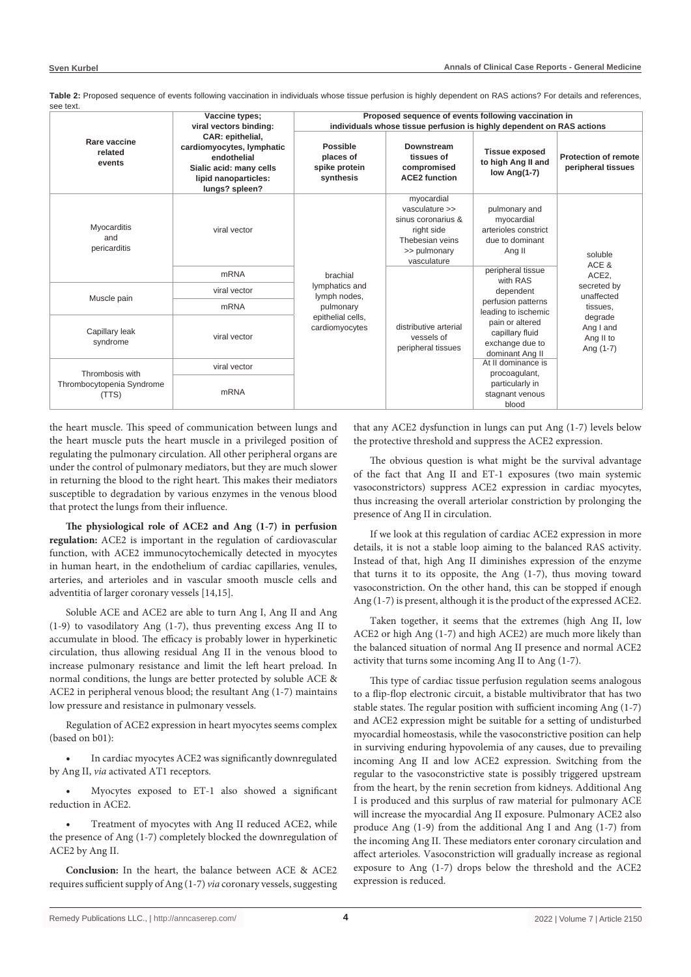|                                                       | Vaccine types;<br>viral vectors binding:                                                                                          | Proposed sequence of events following vaccination in<br>individuals whose tissue perfusion is highly dependent on RAS actions |                                                                                                                    |                                                                                                                                                                     |                                                                                                                      |  |  |
|-------------------------------------------------------|-----------------------------------------------------------------------------------------------------------------------------------|-------------------------------------------------------------------------------------------------------------------------------|--------------------------------------------------------------------------------------------------------------------|---------------------------------------------------------------------------------------------------------------------------------------------------------------------|----------------------------------------------------------------------------------------------------------------------|--|--|
| Rare vaccine<br>related<br>events                     | CAR: epithelial,<br>cardiomyocytes, lymphatic<br>endothelial<br>Sialic acid: many cells<br>lipid nanoparticles:<br>lungs? spleen? | <b>Possible</b><br>places of<br>spike protein<br>synthesis                                                                    | Downstream<br>tissues of<br>compromised<br><b>ACE2 function</b>                                                    | <b>Tissue exposed</b><br>to high Ang II and<br>low Ang(1-7)                                                                                                         | <b>Protection of remote</b><br>peripheral tissues                                                                    |  |  |
| <b>Myocarditis</b><br>and<br>pericarditis             | viral vector                                                                                                                      |                                                                                                                               | myocardial<br>vasculature >><br>sinus coronarius &<br>right side<br>Thebesian veins<br>>> pulmonary<br>vasculature | pulmonary and<br>myocardial<br>arterioles constrict<br>due to dominant<br>Ang II                                                                                    | soluble<br>ACE &<br>ACE2,<br>secreted by<br>unaffected<br>tissues.<br>degrade<br>Ang I and<br>Ang II to<br>Ang (1-7) |  |  |
|                                                       | <b>mRNA</b>                                                                                                                       | brachial                                                                                                                      | distributive arterial<br>vessels of<br>peripheral tissues                                                          | peripheral tissue<br>with RAS<br>dependent<br>perfusion patterns<br>leading to ischemic<br>pain or altered<br>capillary fluid<br>exchange due to<br>dominant Ang II |                                                                                                                      |  |  |
| Muscle pain                                           | viral vector                                                                                                                      | lymphatics and<br>lymph nodes,                                                                                                |                                                                                                                    |                                                                                                                                                                     |                                                                                                                      |  |  |
|                                                       | <b>mRNA</b>                                                                                                                       | pulmonary                                                                                                                     |                                                                                                                    |                                                                                                                                                                     |                                                                                                                      |  |  |
| Capillary leak<br>syndrome                            | viral vector                                                                                                                      | epithelial cells,<br>cardiomyocytes                                                                                           |                                                                                                                    |                                                                                                                                                                     |                                                                                                                      |  |  |
| Thrombosis with<br>Thrombocytopenia Syndrome<br>(TTS) | viral vector                                                                                                                      |                                                                                                                               |                                                                                                                    | At II dominance is<br>procoagulant,                                                                                                                                 |                                                                                                                      |  |  |
|                                                       | <b>mRNA</b>                                                                                                                       |                                                                                                                               |                                                                                                                    | particularly in<br>stagnant venous<br>blood                                                                                                                         |                                                                                                                      |  |  |

**Table 2:** Proposed sequence of events following vaccination in individuals whose tissue perfusion is highly dependent on RAS actions? For details and references, see text.

the heart muscle. This speed of communication between lungs and the heart muscle puts the heart muscle in a privileged position of regulating the pulmonary circulation. All other peripheral organs are under the control of pulmonary mediators, but they are much slower in returning the blood to the right heart. This makes their mediators susceptible to degradation by various enzymes in the venous blood that protect the lungs from their influence.

**The physiological role of ACE2 and Ang (1-7) in perfusion regulation:** ACE2 is important in the regulation of cardiovascular function, with ACE2 immunocytochemically detected in myocytes in human heart, in the endothelium of cardiac capillaries, venules, arteries, and arterioles and in vascular smooth muscle cells and adventitia of larger coronary vessels [14,15].

Soluble ACE and ACE2 are able to turn Ang I, Ang II and Ang (1-9) to vasodilatory Ang (1-7), thus preventing excess Ang II to accumulate in blood. The efficacy is probably lower in hyperkinetic circulation, thus allowing residual Ang II in the venous blood to increase pulmonary resistance and limit the left heart preload. In normal conditions, the lungs are better protected by soluble ACE & ACE2 in peripheral venous blood; the resultant Ang (1-7) maintains low pressure and resistance in pulmonary vessels.

Regulation of ACE2 expression in heart myocytes seems complex (based on b01):

In cardiac myocytes ACE2 was significantly downregulated by Ang II, *via* activated AT1 receptors.

Myocytes exposed to ET-1 also showed a significant reduction in ACE2.

Treatment of myocytes with Ang II reduced ACE2, while the presence of Ang (1-7) completely blocked the downregulation of ACE2 by Ang II.

**Conclusion:** In the heart, the balance between ACE & ACE2 requires sufficient supply of Ang (1-7) *via* coronary vessels, suggesting

that any ACE2 dysfunction in lungs can put Ang (1-7) levels below the protective threshold and suppress the ACE2 expression.

The obvious question is what might be the survival advantage of the fact that Ang II and ET-1 exposures (two main systemic vasoconstrictors) suppress ACE2 expression in cardiac myocytes, thus increasing the overall arteriolar constriction by prolonging the presence of Ang II in circulation.

If we look at this regulation of cardiac ACE2 expression in more details, it is not a stable loop aiming to the balanced RAS activity. Instead of that, high Ang II diminishes expression of the enzyme that turns it to its opposite, the Ang (1-7), thus moving toward vasoconstriction. On the other hand, this can be stopped if enough Ang (1-7) is present, although it is the product of the expressed ACE2.

Taken together, it seems that the extremes (high Ang II, low ACE2 or high Ang (1-7) and high ACE2) are much more likely than the balanced situation of normal Ang II presence and normal ACE2 activity that turns some incoming Ang II to Ang (1-7).

This type of cardiac tissue perfusion regulation seems analogous to a flip-flop electronic circuit, a bistable multivibrator that has two stable states. The regular position with sufficient incoming Ang (1-7) and ACE2 expression might be suitable for a setting of undisturbed myocardial homeostasis, while the vasoconstrictive position can help in surviving enduring hypovolemia of any causes, due to prevailing incoming Ang II and low ACE2 expression. Switching from the regular to the vasoconstrictive state is possibly triggered upstream from the heart, by the renin secretion from kidneys. Additional Ang I is produced and this surplus of raw material for pulmonary ACE will increase the myocardial Ang II exposure. Pulmonary ACE2 also produce Ang (1-9) from the additional Ang I and Ang (1-7) from the incoming Ang II. These mediators enter coronary circulation and affect arterioles. Vasoconstriction will gradually increase as regional exposure to Ang (1-7) drops below the threshold and the ACE2 expression is reduced.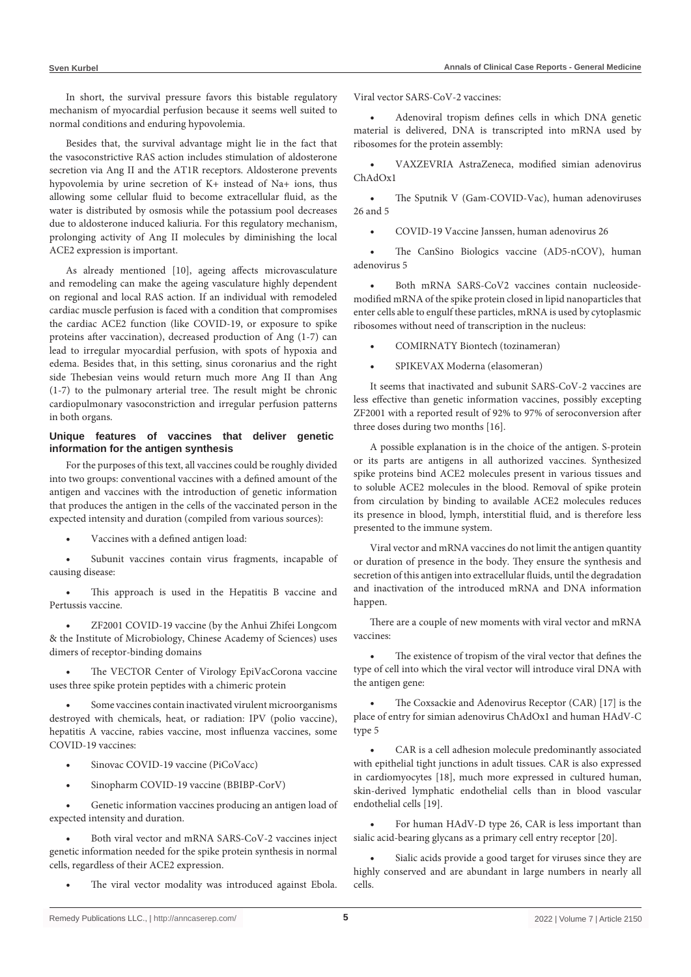In short, the survival pressure favors this bistable regulatory mechanism of myocardial perfusion because it seems well suited to normal conditions and enduring hypovolemia.

Besides that, the survival advantage might lie in the fact that the vasoconstrictive RAS action includes stimulation of aldosterone secretion via Ang II and the AT1R receptors. Aldosterone prevents hypovolemia by urine secretion of K+ instead of Na+ ions, thus allowing some cellular fluid to become extracellular fluid, as the water is distributed by osmosis while the potassium pool decreases due to aldosterone induced kaliuria. For this regulatory mechanism, prolonging activity of Ang II molecules by diminishing the local ACE2 expression is important.

As already mentioned [10], ageing affects microvasculature and remodeling can make the ageing vasculature highly dependent on regional and local RAS action. If an individual with remodeled cardiac muscle perfusion is faced with a condition that compromises the cardiac ACE2 function (like COVID-19, or exposure to spike proteins after vaccination), decreased production of Ang (1-7) can lead to irregular myocardial perfusion, with spots of hypoxia and edema. Besides that, in this setting, sinus coronarius and the right side Thebesian veins would return much more Ang II than Ang (1-7) to the pulmonary arterial tree. The result might be chronic cardiopulmonary vasoconstriction and irregular perfusion patterns in both organs.

## **Unique features of vaccines that deliver genetic information for the antigen synthesis**

For the purposes of this text, all vaccines could be roughly divided into two groups: conventional vaccines with a defined amount of the antigen and vaccines with the introduction of genetic information that produces the antigen in the cells of the vaccinated person in the expected intensity and duration (compiled from various sources):

Vaccines with a defined antigen load:

Subunit vaccines contain virus fragments, incapable of causing disease:

This approach is used in the Hepatitis B vaccine and Pertussis vaccine.

ZF2001 COVID-19 vaccine (by the Anhui Zhifei Longcom & the Institute of Microbiology, Chinese Academy of Sciences) uses dimers of receptor-binding domains

The VECTOR Center of Virology EpiVacCorona vaccine uses three spike protein peptides with a chimeric protein

Some vaccines contain inactivated virulent microorganisms destroyed with chemicals, heat, or radiation: IPV (polio vaccine), hepatitis A vaccine, rabies vaccine, most influenza vaccines, some COVID-19 vaccines:

- Sinovac COVID-19 vaccine (PiCoVacc)
- Sinopharm COVID-19 vaccine (BBIBP-CorV)

Genetic information vaccines producing an antigen load of expected intensity and duration.

Both viral vector and mRNA SARS-CoV-2 vaccines inject genetic information needed for the spike protein synthesis in normal cells, regardless of their ACE2 expression.

The viral vector modality was introduced against Ebola.

Viral vector SARS-CoV-2 vaccines:

Adenoviral tropism defines cells in which DNA genetic material is delivered, DNA is transcripted into mRNA used by ribosomes for the protein assembly:

VAXZEVRIA AstraZeneca, modified simian adenovirus ChAdOx1

The Sputnik V (Gam-COVID-Vac), human adenoviruses 26 and 5

COVID-19 Vaccine Janssen, human adenovirus 26

The CanSino Biologics vaccine (AD5-nCOV), human adenovirus 5

Both mRNA SARS-CoV2 vaccines contain nucleosidemodified mRNA of the spike protein closed in lipid nanoparticles that enter cells able to engulf these particles, mRNA is used by cytoplasmic ribosomes without need of transcription in the nucleus:

COMIRNATY Biontech (tozinameran)

SPIKEVAX Moderna (elasomeran)

It seems that inactivated and subunit SARS-CoV-2 vaccines are less effective than genetic information vaccines, possibly excepting ZF2001 with a reported result of 92% to 97% of seroconversion after three doses during two months [16].

A possible explanation is in the choice of the antigen. S-protein or its parts are antigens in all authorized vaccines. Synthesized spike proteins bind ACE2 molecules present in various tissues and to soluble ACE2 molecules in the blood. Removal of spike protein from circulation by binding to available ACE2 molecules reduces its presence in blood, lymph, interstitial fluid, and is therefore less presented to the immune system.

Viral vector and mRNA vaccines do not limit the antigen quantity or duration of presence in the body. They ensure the synthesis and secretion of this antigen into extracellular fluids, until the degradation and inactivation of the introduced mRNA and DNA information happen.

There are a couple of new moments with viral vector and mRNA vaccines:

The existence of tropism of the viral vector that defines the type of cell into which the viral vector will introduce viral DNA with the antigen gene:

The Coxsackie and Adenovirus Receptor (CAR) [17] is the place of entry for simian adenovirus ChAdOx1 and human HAdV-C type 5

CAR is a cell adhesion molecule predominantly associated with epithelial tight junctions in adult tissues. CAR is also expressed in cardiomyocytes [18], much more expressed in cultured human, skin-derived lymphatic endothelial cells than in blood vascular endothelial cells [19].

For human HAdV-D type 26, CAR is less important than sialic acid-bearing glycans as a primary cell entry receptor [20].

Sialic acids provide a good target for viruses since they are highly conserved and are abundant in large numbers in nearly all cells.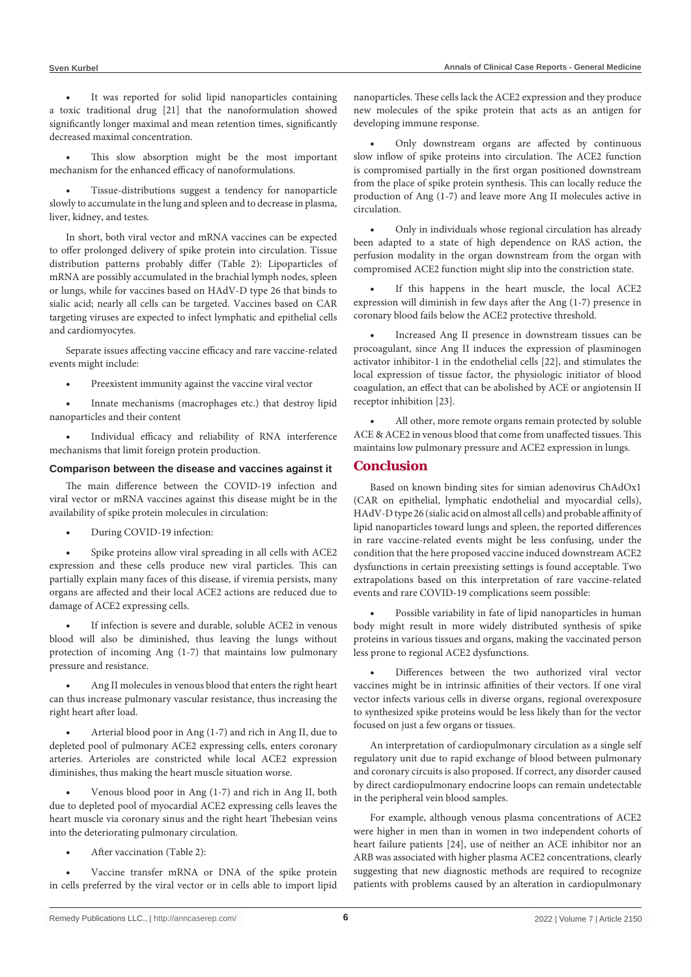It was reported for solid lipid nanoparticles containing a toxic traditional drug [21] that the nanoformulation showed significantly longer maximal and mean retention times, significantly decreased maximal concentration.

This slow absorption might be the most important mechanism for the enhanced efficacy of nanoformulations.

Tissue-distributions suggest a tendency for nanoparticle slowly to accumulate in the lung and spleen and to decrease in plasma, liver, kidney, and testes.

In short, both viral vector and mRNA vaccines can be expected to offer prolonged delivery of spike protein into circulation. Tissue distribution patterns probably differ (Table 2): Lipoparticles of mRNA are possibly accumulated in the brachial lymph nodes, spleen or lungs, while for vaccines based on HAdV-D type 26 that binds to sialic acid; nearly all cells can be targeted. Vaccines based on CAR targeting viruses are expected to infect lymphatic and epithelial cells and cardiomyocytes.

Separate issues affecting vaccine efficacy and rare vaccine-related events might include:

Preexistent immunity against the vaccine viral vector

Innate mechanisms (macrophages etc.) that destroy lipid nanoparticles and their content

Individual efficacy and reliability of RNA interference mechanisms that limit foreign protein production.

#### **Comparison between the disease and vaccines against it**

The main difference between the COVID-19 infection and viral vector or mRNA vaccines against this disease might be in the availability of spike protein molecules in circulation:

During COVID-19 infection:

Spike proteins allow viral spreading in all cells with ACE2 expression and these cells produce new viral particles. This can partially explain many faces of this disease, if viremia persists, many organs are affected and their local ACE2 actions are reduced due to damage of ACE2 expressing cells.

If infection is severe and durable, soluble ACE2 in venous blood will also be diminished, thus leaving the lungs without protection of incoming Ang (1-7) that maintains low pulmonary pressure and resistance.

Ang II molecules in venous blood that enters the right heart can thus increase pulmonary vascular resistance, thus increasing the right heart after load.

Arterial blood poor in Ang (1-7) and rich in Ang II, due to depleted pool of pulmonary ACE2 expressing cells, enters coronary arteries. Arterioles are constricted while local ACE2 expression diminishes, thus making the heart muscle situation worse.

Venous blood poor in Ang (1-7) and rich in Ang II, both due to depleted pool of myocardial ACE2 expressing cells leaves the heart muscle via coronary sinus and the right heart Thebesian veins into the deteriorating pulmonary circulation.

After vaccination (Table 2):

Vaccine transfer mRNA or DNA of the spike protein in cells preferred by the viral vector or in cells able to import lipid nanoparticles. These cells lack the ACE2 expression and they produce new molecules of the spike protein that acts as an antigen for developing immune response.

Only downstream organs are affected by continuous slow inflow of spike proteins into circulation. The ACE2 function is compromised partially in the first organ positioned downstream from the place of spike protein synthesis. This can locally reduce the production of Ang (1-7) and leave more Ang II molecules active in circulation.

Only in individuals whose regional circulation has already been adapted to a state of high dependence on RAS action, the perfusion modality in the organ downstream from the organ with compromised ACE2 function might slip into the constriction state.

If this happens in the heart muscle, the local ACE2 expression will diminish in few days after the Ang (1-7) presence in coronary blood fails below the ACE2 protective threshold.

Increased Ang II presence in downstream tissues can be procoagulant, since Ang II induces the expression of plasminogen activator inhibitor-1 in the endothelial cells [22], and stimulates the local expression of tissue factor, the physiologic initiator of blood coagulation, an effect that can be abolished by ACE or angiotensin II receptor inhibition [23].

All other, more remote organs remain protected by soluble ACE & ACE2 in venous blood that come from unaffected tissues. This maintains low pulmonary pressure and ACE2 expression in lungs.

# **Conclusion**

Based on known binding sites for simian adenovirus ChAdOx1 (CAR on epithelial, lymphatic endothelial and myocardial cells), HAdV-Dtype 26 (sialic acid on almost all cells) and probable affinity of lipid nanoparticles toward lungs and spleen, the reported differences in rare vaccine-related events might be less confusing, under the condition that the here proposed vaccine induced downstream ACE2 dysfunctions in certain preexisting settings is found acceptable. Two extrapolations based on this interpretation of rare vaccine-related events and rare COVID-19 complications seem possible:

Possible variability in fate of lipid nanoparticles in human body might result in more widely distributed synthesis of spike proteins in various tissues and organs, making the vaccinated person less prone to regional ACE2 dysfunctions.

Differences between the two authorized viral vector vaccines might be in intrinsic affinities of their vectors. If one viral vector infects various cells in diverse organs, regional overexposure to synthesized spike proteins would be less likely than for the vector focused on just a few organs or tissues.

An interpretation of cardiopulmonary circulation as a single self regulatory unit due to rapid exchange of blood between pulmonary and coronary circuits is also proposed. If correct, any disorder caused by direct cardiopulmonary endocrine loops can remain undetectable in the peripheral vein blood samples.

For example, although venous plasma concentrations of ACE2 were higher in men than in women in two independent cohorts of heart failure patients [24], use of neither an ACE inhibitor nor an ARB was associated with higher plasma ACE2 concentrations, clearly suggesting that new diagnostic methods are required to recognize patients with problems caused by an alteration in cardiopulmonary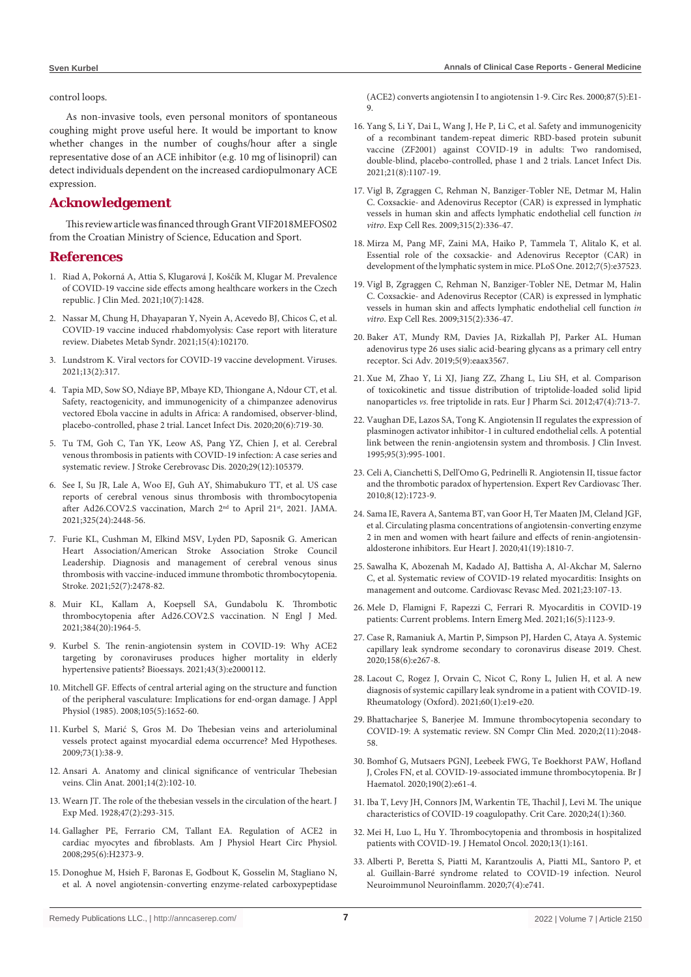#### control loops.

As non-invasive tools, even personal monitors of spontaneous coughing might prove useful here. It would be important to know whether changes in the number of coughs/hour after a single representative dose of an ACE inhibitor (e.g. 10 mg of lisinopril) can detect individuals dependent on the increased cardiopulmonary ACE expression.

# **Acknowledgement**

This review article was financed through Grant VIF2018MEFOS02 from the Croatian Ministry of Science, Education and Sport.

#### **References**

- 1. Riad A, Pokorná A, Attia S, Klugarová J, Koščík M, Klugar M. [Prevalence](https://pubmed.ncbi.nlm.nih.gov/33916020/) of [COVID-19](https://pubmed.ncbi.nlm.nih.gov/33916020/) vaccine side effects among healthcare workers in the Czech republic. J Clin Med. [2021;10\(7\):1428.](https://pubmed.ncbi.nlm.nih.gov/33916020/)
- 2. Nassar M, Chung H, [Dhayaparan](https://pubmed.ncbi.nlm.nih.gov/34186348/) Y, Nyein A, Acevedo BJ, Chicos C, et al. COVID-19 vaccine induced [rhabdomyolysis:](https://pubmed.ncbi.nlm.nih.gov/34186348/) Case report with literature review. Diabetes Metab Syndr. [2021;15\(4\):102170.](https://pubmed.ncbi.nlm.nih.gov/34186348/)
- 3. Lundstrom K. Viral vectors for COVID-19 vaccine [development.](https://pubmed.ncbi.nlm.nih.gov/33669550/) Viruses. [2021;13\(2\):317.](https://pubmed.ncbi.nlm.nih.gov/33669550/)
- 4. Tapia MD, Sow SO, Ndiaye BP, Mbaye KD, [Thiongane](https://pubmed.ncbi.nlm.nih.gov/32199492/) A, Ndour CT, et al. Safety, reactogenicity, and [immunogenicity](https://pubmed.ncbi.nlm.nih.gov/32199492/) of a chimpanzee adenovirus vectored Ebola vaccine in adults in Africa: A randomised, [observer-blind,](https://pubmed.ncbi.nlm.nih.gov/32199492/) [placebo-controlled,](https://pubmed.ncbi.nlm.nih.gov/32199492/) phase 2 trial. Lancet Infect Dis. 2020;20(6):719-30.
- 5. Tu TM, Goh C, Tan YK, Leow AS, Pang YZ, Chien J, et al. [Cerebral](https://pubmed.ncbi.nlm.nih.gov/33254369/) venous [thrombosis](https://pubmed.ncbi.nlm.nih.gov/33254369/) in patients with COVID-19 infection: A case series and systematic review. J Stroke Cerebrovasc Dis. [2020;29\(12\):105379.](https://pubmed.ncbi.nlm.nih.gov/33254369/)
- 6. See I, Su JR, Lale A, Woo EJ, Guh AY, [Shimabukuro](https://pubmed.ncbi.nlm.nih.gov/33929487/) TT, et al. US case reports of cerebral venous sinus thrombosis with [thrombocytopenia](https://pubmed.ncbi.nlm.nih.gov/33929487/) after [Ad26.COV2.S](https://pubmed.ncbi.nlm.nih.gov/33929487/) vaccination, March 2nd to April 21st, 2021. JAMA. [2021;325\(24\):2448-56.](https://pubmed.ncbi.nlm.nih.gov/33929487/)
- 7. Furie KL, Cushman M, Elkind MSV, Lyden PD, Saposnik G. [American](https://pubmed.ncbi.nlm.nih.gov/33914590/) Heart [Association/American](https://pubmed.ncbi.nlm.nih.gov/33914590/) Stroke Association Stroke Council Leadership. Diagnosis and [management](https://pubmed.ncbi.nlm.nih.gov/33914590/) of cerebral venous sinus thrombosis with vaccine-induced immune thrombotic [thrombocytopenia.](https://pubmed.ncbi.nlm.nih.gov/33914590/) Stroke. [2021;52\(7\):2478-82.](https://pubmed.ncbi.nlm.nih.gov/33914590/)
- 8. Muir KL, Kallam A, Koepsell SA, Gundabolu K. [Thrombotic](https://pubmed.ncbi.nlm.nih.gov/33852795/) [thrombocytopenia](https://pubmed.ncbi.nlm.nih.gov/33852795/) after Ad26.COV2.S vaccination. N Engl J Med. [2021;384\(20\):1964-5.](https://pubmed.ncbi.nlm.nih.gov/33852795/)
- 9. Kurbel S. The [renin-angiotensin](https://pubmed.ncbi.nlm.nih.gov/33336824/) system in COVID-19: Why ACE2 targeting by [coronaviruses](https://pubmed.ncbi.nlm.nih.gov/33336824/) produces higher mortality in elderly hypertensive patients? Bioessays. [2021;43\(3\):e2000112.](https://pubmed.ncbi.nlm.nih.gov/33336824/)
- 10. Mitchell GF. Effects of central arterial aging on the [structure](https://pubmed.ncbi.nlm.nih.gov/18772322/) and function of the peripheral vasculature: [Implications](https://pubmed.ncbi.nlm.nih.gov/18772322/) for end-organ damage. J Appl Physiol (1985). [2008;105\(5\):1652-60.](https://pubmed.ncbi.nlm.nih.gov/18772322/)
- 11. Kurbel S, Marić S, Gros M. Do Thebesian veins and [arterioluminal](https://pubmed.ncbi.nlm.nih.gov/19264425/) vessels protect against myocardial edema occurrence? Med [Hypotheses.](https://pubmed.ncbi.nlm.nih.gov/19264425/) [2009;73\(1\):38-9.](https://pubmed.ncbi.nlm.nih.gov/19264425/)
- 12. Ansari A. Anatomy and clinical [significance](https://pubmed.ncbi.nlm.nih.gov/11241745/) of ventricular Thebesian veins. Clin Anat. [2001;14\(2\):102-10.](https://pubmed.ncbi.nlm.nih.gov/11241745/)
- 13. Wearn JT. The role of the thebesian vessels in the [circulation](https://pubmed.ncbi.nlm.nih.gov/19869414/) of the heart. J Exp Med. [1928;47\(2\):293-315.](https://pubmed.ncbi.nlm.nih.gov/19869414/)
- 14. Gallagher PE, Ferrario CM, Tallant EA. [Regulation](https://pubmed.ncbi.nlm.nih.gov/18849338/) of ACE2 in cardiac myocytes and [fibroblasts.](https://pubmed.ncbi.nlm.nih.gov/18849338/) Am J Physiol Heart Circ Physiol. [2008;295\(6\):H2373-9.](https://pubmed.ncbi.nlm.nih.gov/18849338/)
- 15. [Donoghue](https://pubmed.ncbi.nlm.nih.gov/10969042/) M, Hsieh F, Baronas E, Godbout K, Gosselin M, Stagliano N, et al. A novel [angiotensin-converting](https://pubmed.ncbi.nlm.nih.gov/10969042/) enzyme-related carboxypeptidase

(ACE2) converts angiotensin I to angiotensin 1-9. Circ Res. [2000;87\(5\):E1-](https://pubmed.ncbi.nlm.nih.gov/10969042/) [9.](https://pubmed.ncbi.nlm.nih.gov/10969042/)

- 16. Yang S, Li Y, Dai L, Wang J, He P, Li C, et al. Safety and [immunogenicity](https://www.thelancet.com/journals/laninf/article/PIIS1473-3099(21)00127-4/fulltext) of a recombinant [tandem-repeat](https://www.thelancet.com/journals/laninf/article/PIIS1473-3099(21)00127-4/fulltext) dimeric RBD-based protein subunit vaccine (ZF2001) against COVID-19 in adults: Two [randomised,](https://www.thelancet.com/journals/laninf/article/PIIS1473-3099(21)00127-4/fulltext) double-blind, [placebo-controlled,](https://www.thelancet.com/journals/laninf/article/PIIS1473-3099(21)00127-4/fulltext) phase 1 and 2 trials. Lancet Infect Dis. [2021;21\(8\):1107-19.](https://www.thelancet.com/journals/laninf/article/PIIS1473-3099(21)00127-4/fulltext)
- 17. Vigl B, Zgraggen C, Rehman N, [Banziger-Tobler](https://pubmed.ncbi.nlm.nih.gov/19007771/) NE, Detmar M, Halin C. Coxsackie- and [Adenovirus](https://pubmed.ncbi.nlm.nih.gov/19007771/) Receptor (CAR) is expressed in lymphatic vessels in human skin and affects lymphatic [endothelial](https://pubmed.ncbi.nlm.nih.gov/19007771/) cell function *in vitro*. Exp Cell Res. [2009;315\(2\):336-47.](https://pubmed.ncbi.nlm.nih.gov/19007771/)
- 18. Mirza M, Pang MF, Zaini MA, Haiko P, [Tammela](https://pubmed.ncbi.nlm.nih.gov/22624044/) T, Alitalo K, et al. Essential role of the coxsackie- and [Adenovirus](https://pubmed.ncbi.nlm.nih.gov/22624044/) Receptor (CAR) in development of the lymphatic system in mice. PLoS One. [2012;7\(5\):e37523.](https://pubmed.ncbi.nlm.nih.gov/22624044/)
- 19. Vigl B, Zgraggen C, Rehman N, [Banziger-Tobler](https://pubmed.ncbi.nlm.nih.gov/19007771/) NE, Detmar M, Halin C. Coxsackie- and [Adenovirus](https://pubmed.ncbi.nlm.nih.gov/19007771/) Receptor (CAR) is expressed in lymphatic vessels in human skin and affects lymphatic [endothelial](https://pubmed.ncbi.nlm.nih.gov/19007771/) cell function *in vitro*. Exp Cell Res. [2009;315\(2\):336-47.](https://pubmed.ncbi.nlm.nih.gov/19007771/)
- 20. Baker AT, Mundy RM, Davies JA, [Rizkallah](https://pubmed.ncbi.nlm.nih.gov/31517055/) PJ, Parker AL. Human adenovirus type 26 uses sialic [acid-bearing](https://pubmed.ncbi.nlm.nih.gov/31517055/) glycans as a primary cell entry receptor. Sci Adv. [2019;5\(9\):eaax3567.](https://pubmed.ncbi.nlm.nih.gov/31517055/)
- 21. Xue M, Zhao Y, Li XJ, Jiang ZZ, Zhang L, Liu SH, et al. [Comparison](https://pubmed.ncbi.nlm.nih.gov/22677813/) of toxicokinetic and tissue distribution of [triptolide-loaded](https://pubmed.ncbi.nlm.nih.gov/22677813/) solid lipid nanoparticles *vs.* free triptolide in rats. Eur J Pharm Sci. [2012;47\(4\):713-7.](https://pubmed.ncbi.nlm.nih.gov/22677813/)
- 22. Vaughan DE, Lazos SA, Tong K. [Angiotensin](https://pubmed.ncbi.nlm.nih.gov/7884001/) II regulates the expression of [plasminogen](https://pubmed.ncbi.nlm.nih.gov/7884001/) activator inhibitor-1 in cultured endothelial cells. A potential link between the [renin-angiotensin](https://pubmed.ncbi.nlm.nih.gov/7884001/) system and thrombosis. J Clin Invest. [1995;95\(3\):995-1001.](https://pubmed.ncbi.nlm.nih.gov/7884001/)
- 23. Celi A, Cianchetti S, Dell'Omo G, Pedrinelli R. [Angiotensin](https://pubmed.ncbi.nlm.nih.gov/21108554/) II, tissue factor and the thrombotic paradox of [hypertension.](https://pubmed.ncbi.nlm.nih.gov/21108554/) Expert Rev Cardiovasc Ther. [2010;8\(12\):1723-9.](https://pubmed.ncbi.nlm.nih.gov/21108554/)
- 24. Sama IE, Ravera A, [Santema](https://pubmed.ncbi.nlm.nih.gov/32388565/) BT, van Goor H, Ter Maaten JM, Cleland JGF, et al. Circulating plasma concentrations of [angiotensin-converting](https://pubmed.ncbi.nlm.nih.gov/32388565/) enzyme 2 in men and women with heart failure and effects of [renin-angiotensin](https://pubmed.ncbi.nlm.nih.gov/32388565/)aldosterone inhibitors. Eur Heart J. [2020;41\(19\):1810-7.](https://pubmed.ncbi.nlm.nih.gov/32388565/)
- 25. Sawalha K, Abozenah M, Kadado AJ, Battisha A, [Al-Akchar](https://pubmed.ncbi.nlm.nih.gov/32847728/) M, Salerno C, et al. Systematic review of COVID-19 related [myocarditis:](https://pubmed.ncbi.nlm.nih.gov/32847728/) Insights on management and outcome. Cardiovasc Revasc Med. [2021;23:107-13.](https://pubmed.ncbi.nlm.nih.gov/32847728/)
- 26. Mele D, Flamigni F, Rapezzi C, Ferrari R. [Myocarditis](https://pubmed.ncbi.nlm.nih.gov/33484452/) in COVID-19 patients: Current problems. Intern Emerg Med. [2021;16\(5\):1123-9.](https://pubmed.ncbi.nlm.nih.gov/33484452/)
- 27. Case R, [Ramaniuk](https://pubmed.ncbi.nlm.nih.gov/32622823/) A, Martin P, Simpson PJ, Harden C, Ataya A. Systemic capillary leak syndrome secondary to [coronavirus](https://pubmed.ncbi.nlm.nih.gov/32622823/) disease 2019. Chest. [2020;158\(6\):e267-8.](https://pubmed.ncbi.nlm.nih.gov/32622823/)
- 28. Lacout C, Rogez J, [Orvain](https://pubmed.ncbi.nlm.nih.gov/32940700/) C, Nicot C, Rony L, Julien H, et al. A new diagnosis of systemic capillary leak syndrome in a patient with [COVID-19.](https://pubmed.ncbi.nlm.nih.gov/32940700/) Rheumatology (Oxford). [2021;60\(1\):e19-e20.](https://pubmed.ncbi.nlm.nih.gov/32940700/)
- 29. Bhattacharjee S, Banerjee M. Immune [thrombocytopenia](https://pubmed.ncbi.nlm.nih.gov/32984764/) secondary to COVID-19: A systematic review. SN Compr Clin Med. [2020;2\(11\):2048-](https://pubmed.ncbi.nlm.nih.gov/32984764/) [58.](https://pubmed.ncbi.nlm.nih.gov/32984764/)
- 30. Bomhof G, Mutsaers PGNJ, Leebeek FWG, Te [Boekhorst](https://pubmed.ncbi.nlm.nih.gov/32420612/) PAW, Hofland J, Croles FN, et al. [COVID-19-associated](https://pubmed.ncbi.nlm.nih.gov/32420612/) immune thrombocytopenia. Br J Haematol. [2020;190\(2\):e61-4.](https://pubmed.ncbi.nlm.nih.gov/32420612/)
- 31. Iba T, Levy JH, Connors JM, [Warkentin](https://pubmed.ncbi.nlm.nih.gov/32552865/) TE, Thachil J, Levi M. The unique characteristics of COVID-19 coagulopathy. Crit Care. [2020;24\(1\):360.](https://pubmed.ncbi.nlm.nih.gov/32552865/)
- 32. Mei H, Luo L, Hu Y. [Thrombocytopenia](https://pubmed.ncbi.nlm.nih.gov/33261634/) and thrombosis in hospitalized patients with COVID-19. J Hematol Oncol. [2020;13\(1\):161.](https://pubmed.ncbi.nlm.nih.gov/33261634/)
- 33. Alberti P, Beretta S, Piatti M, [Karantzoulis](https://pubmed.ncbi.nlm.nih.gov/32350026/) A, Piatti ML, Santoro P, et al. [Guillain-Barré](https://pubmed.ncbi.nlm.nih.gov/32350026/) syndrome related to COVID-19 infection. Neurol [Neuroimmunol](https://pubmed.ncbi.nlm.nih.gov/32350026/) Neuroinflamm. 2020;7(4):e741.